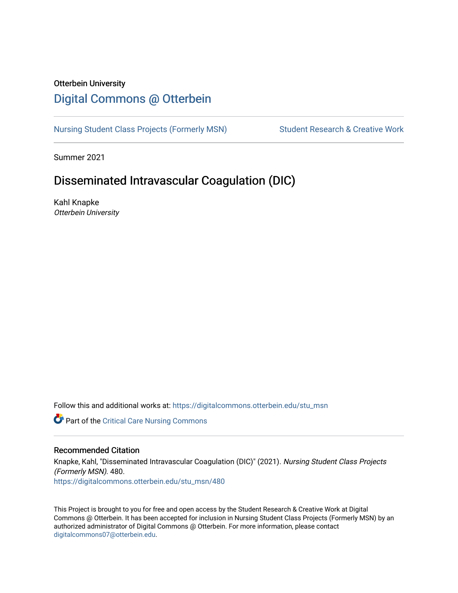### Otterbein University

# [Digital Commons @ Otterbein](https://digitalcommons.otterbein.edu/)

[Nursing Student Class Projects \(Formerly MSN\)](https://digitalcommons.otterbein.edu/stu_msn) Student Research & Creative Work

Summer 2021

# Disseminated Intravascular Coagulation (DIC)

Kahl Knapke Otterbein University

Follow this and additional works at: [https://digitalcommons.otterbein.edu/stu\\_msn](https://digitalcommons.otterbein.edu/stu_msn?utm_source=digitalcommons.otterbein.edu%2Fstu_msn%2F480&utm_medium=PDF&utm_campaign=PDFCoverPages) 

Part of the [Critical Care Nursing Commons](http://network.bepress.com/hgg/discipline/727?utm_source=digitalcommons.otterbein.edu%2Fstu_msn%2F480&utm_medium=PDF&utm_campaign=PDFCoverPages)

### Recommended Citation

Knapke, Kahl, "Disseminated Intravascular Coagulation (DIC)" (2021). Nursing Student Class Projects (Formerly MSN). 480. [https://digitalcommons.otterbein.edu/stu\\_msn/480](https://digitalcommons.otterbein.edu/stu_msn/480?utm_source=digitalcommons.otterbein.edu%2Fstu_msn%2F480&utm_medium=PDF&utm_campaign=PDFCoverPages) 

This Project is brought to you for free and open access by the Student Research & Creative Work at Digital Commons @ Otterbein. It has been accepted for inclusion in Nursing Student Class Projects (Formerly MSN) by an authorized administrator of Digital Commons @ Otterbein. For more information, please contact [digitalcommons07@otterbein.edu](mailto:digitalcommons07@otterbein.edu).